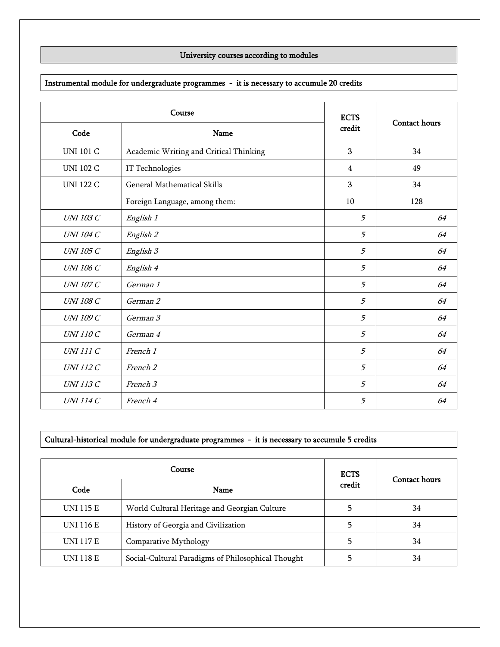## University courses according to modules

## Instrumental module for undergraduate programmes - it is necessary to accumule 20 credits

| Course           |                                        | <b>ECTS</b>    |                      |
|------------------|----------------------------------------|----------------|----------------------|
| Code             | Name                                   | credit         | <b>Contact hours</b> |
| <b>UNI 101 C</b> | Academic Writing and Critical Thinking | 3              | 34                   |
| <b>UNI 102 C</b> | IT Technologies                        | $\overline{4}$ | 49                   |
| <b>UNI 122 C</b> | <b>General Mathematical Skills</b>     | 3              | 34                   |
|                  | Foreign Language, among them:          | 10             | 128                  |
| <b>UNI 103 C</b> | English 1                              | 5              | 64                   |
| <b>UNI 104 C</b> | English 2                              | 5              | 64                   |
| <b>UNI 105 C</b> | English 3                              | 5              | 64                   |
| <b>UNI 106 C</b> | English 4                              | 5              | 64                   |
| <b>UNI 107 C</b> | German 1                               | 5              | 64                   |
| <b>UNI 108 C</b> | German 2                               | 5              | 64                   |
| <b>UNI 109 C</b> | German 3                               | 5              | 64                   |
| <b>UNI 110 C</b> | German 4                               | 5              | 64                   |
| <b>UNI 111 C</b> | French 1                               | 5              | 64                   |
| <b>UNI 112 C</b> | French 2                               | 5              | 64                   |
| <b>UNI 113 C</b> | French 3                               | 5              | 64                   |
| <b>UNI 114 C</b> | French 4                               | 5              | 64                   |

## Cultural-historical module for undergraduate programmes - it is necessary to accumule 5 credits

| Course           |                                                    | <b>ECTS</b> |                      |
|------------------|----------------------------------------------------|-------------|----------------------|
| Code             | Name                                               | credit      | <b>Contact hours</b> |
| <b>UNI 115 E</b> | World Cultural Heritage and Georgian Culture       |             | 34                   |
| UNI 116 E        | History of Georgia and Civilization                |             | 34                   |
| <b>UNI 117 E</b> | Comparative Mythology                              |             | 34                   |
| <b>UNI 118 E</b> | Social-Cultural Paradigms of Philosophical Thought |             | 34                   |